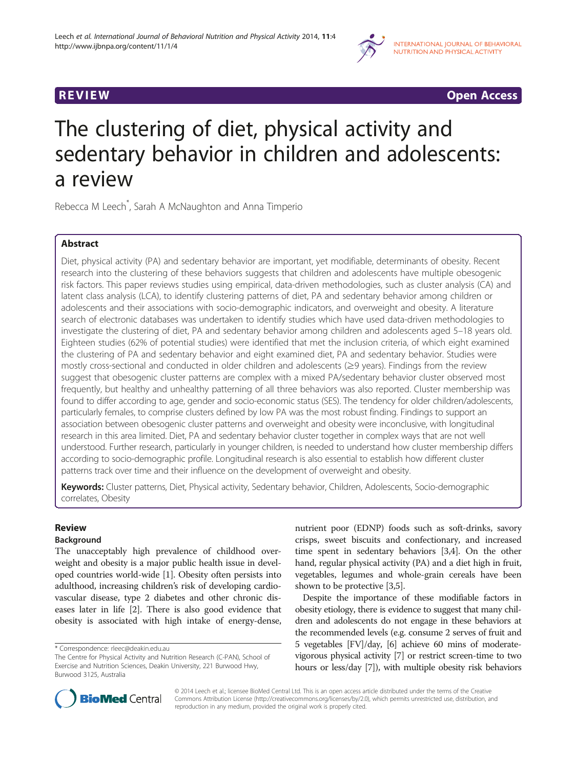

**REVIEW CONSTRUCTION CONSTRUCTION CONSTRUCTS** 

# The clustering of diet, physical activity and sedentary behavior in children and adolescents: a review

Rebecca M Leech\* , Sarah A McNaughton and Anna Timperio

# Abstract

Diet, physical activity (PA) and sedentary behavior are important, yet modifiable, determinants of obesity. Recent research into the clustering of these behaviors suggests that children and adolescents have multiple obesogenic risk factors. This paper reviews studies using empirical, data-driven methodologies, such as cluster analysis (CA) and latent class analysis (LCA), to identify clustering patterns of diet, PA and sedentary behavior among children or adolescents and their associations with socio-demographic indicators, and overweight and obesity. A literature search of electronic databases was undertaken to identify studies which have used data-driven methodologies to investigate the clustering of diet, PA and sedentary behavior among children and adolescents aged 5–18 years old. Eighteen studies (62% of potential studies) were identified that met the inclusion criteria, of which eight examined the clustering of PA and sedentary behavior and eight examined diet, PA and sedentary behavior. Studies were mostly cross-sectional and conducted in older children and adolescents (≥9 years). Findings from the review suggest that obesogenic cluster patterns are complex with a mixed PA/sedentary behavior cluster observed most frequently, but healthy and unhealthy patterning of all three behaviors was also reported. Cluster membership was found to differ according to age, gender and socio-economic status (SES). The tendency for older children/adolescents, particularly females, to comprise clusters defined by low PA was the most robust finding. Findings to support an association between obesogenic cluster patterns and overweight and obesity were inconclusive, with longitudinal research in this area limited. Diet, PA and sedentary behavior cluster together in complex ways that are not well understood. Further research, particularly in younger children, is needed to understand how cluster membership differs according to socio-demographic profile. Longitudinal research is also essential to establish how different cluster patterns track over time and their influence on the development of overweight and obesity.

Keywords: Cluster patterns, Diet, Physical activity, Sedentary behavior, Children, Adolescents, Socio-demographic correlates, Obesity

# Review

# Background

The unacceptably high prevalence of childhood overweight and obesity is a major public health issue in developed countries world-wide [\[1\]](#page-6-0). Obesity often persists into adulthood, increasing children's risk of developing cardiovascular disease, type 2 diabetes and other chronic diseases later in life [[2](#page-6-0)]. There is also good evidence that obesity is associated with high intake of energy-dense,

nutrient poor (EDNP) foods such as soft-drinks, savory crisps, sweet biscuits and confectionary, and increased time spent in sedentary behaviors [\[3,4](#page-6-0)]. On the other hand, regular physical activity (PA) and a diet high in fruit, vegetables, legumes and whole-grain cereals have been shown to be protective [\[3,5](#page-6-0)].

Despite the importance of these modifiable factors in obesity etiology, there is evidence to suggest that many children and adolescents do not engage in these behaviors at the recommended levels (e.g. consume 2 serves of fruit and 5 vegetables [FV]/day, [\[6\]](#page-6-0) achieve 60 mins of moderatevigorous physical activity [[7](#page-6-0)] or restrict screen-time to two hours or less/day [[7](#page-6-0)]), with multiple obesity risk behaviors



© 2014 Leech et al.; licensee BioMed Central Ltd. This is an open access article distributed under the terms of the Creative Commons Attribution License [\(http://creativecommons.org/licenses/by/2.0\)](http://creativecommons.org/licenses/by/2.0), which permits unrestricted use, distribution, and reproduction in any medium, provided the original work is properly cited.

<sup>\*</sup> Correspondence: [rleec@deakin.edu.au](mailto:rleec@deakin.edu.au)

The Centre for Physical Activity and Nutrition Research (C-PAN), School of Exercise and Nutrition Sciences, Deakin University, 221 Burwood Hwy, Burwood 3125, Australia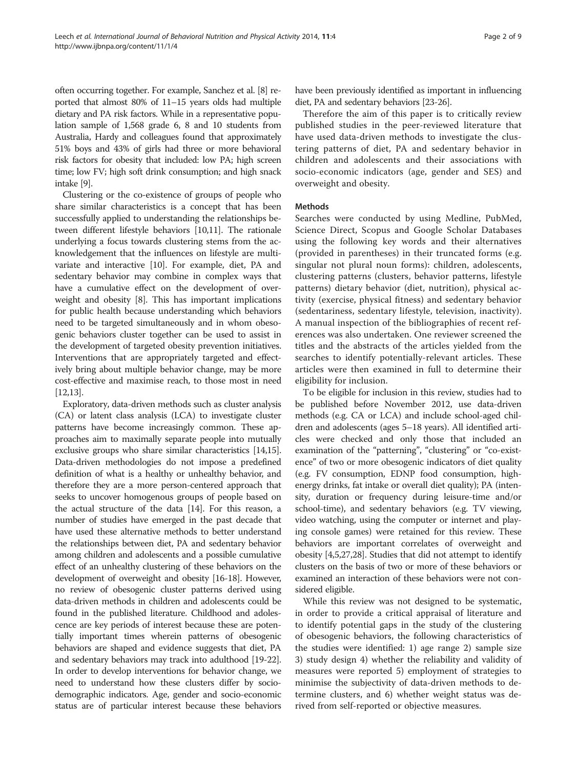often occurring together. For example, Sanchez et al. [\[8\]](#page-6-0) reported that almost 80% of 11–15 years olds had multiple dietary and PA risk factors. While in a representative population sample of 1,568 grade 6, 8 and 10 students from Australia, Hardy and colleagues found that approximately 51% boys and 43% of girls had three or more behavioral risk factors for obesity that included: low PA; high screen time; low FV; high soft drink consumption; and high snack intake [\[9\]](#page-6-0).

Clustering or the co-existence of groups of people who share similar characteristics is a concept that has been successfully applied to understanding the relationships between different lifestyle behaviors [[10,11](#page-6-0)]. The rationale underlying a focus towards clustering stems from the acknowledgement that the influences on lifestyle are multivariate and interactive [[10](#page-6-0)]. For example, diet, PA and sedentary behavior may combine in complex ways that have a cumulative effect on the development of overweight and obesity [\[8](#page-6-0)]. This has important implications for public health because understanding which behaviors need to be targeted simultaneously and in whom obesogenic behaviors cluster together can be used to assist in the development of targeted obesity prevention initiatives. Interventions that are appropriately targeted and effectively bring about multiple behavior change, may be more cost-effective and maximise reach, to those most in need [[12,13](#page-6-0)].

Exploratory, data-driven methods such as cluster analysis (CA) or latent class analysis (LCA) to investigate cluster patterns have become increasingly common. These approaches aim to maximally separate people into mutually exclusive groups who share similar characteristics [\[14,15](#page-7-0)]. Data-driven methodologies do not impose a predefined definition of what is a healthy or unhealthy behavior, and therefore they are a more person-centered approach that seeks to uncover homogenous groups of people based on the actual structure of the data [[14](#page-7-0)]. For this reason, a number of studies have emerged in the past decade that have used these alternative methods to better understand the relationships between diet, PA and sedentary behavior among children and adolescents and a possible cumulative effect of an unhealthy clustering of these behaviors on the development of overweight and obesity [\[16-18\]](#page-7-0). However, no review of obesogenic cluster patterns derived using data-driven methods in children and adolescents could be found in the published literature. Childhood and adolescence are key periods of interest because these are potentially important times wherein patterns of obesogenic behaviors are shaped and evidence suggests that diet, PA and sedentary behaviors may track into adulthood [\[19](#page-7-0)-[22](#page-7-0)]. In order to develop interventions for behavior change, we need to understand how these clusters differ by sociodemographic indicators. Age, gender and socio-economic status are of particular interest because these behaviors have been previously identified as important in influencing diet, PA and sedentary behaviors [\[23-26](#page-7-0)].

Therefore the aim of this paper is to critically review published studies in the peer-reviewed literature that have used data-driven methods to investigate the clustering patterns of diet, PA and sedentary behavior in children and adolescents and their associations with socio-economic indicators (age, gender and SES) and overweight and obesity.

#### Methods

Searches were conducted by using Medline, PubMed, Science Direct, Scopus and Google Scholar Databases using the following key words and their alternatives (provided in parentheses) in their truncated forms (e.g. singular not plural noun forms): children, adolescents, clustering patterns (clusters, behavior patterns, lifestyle patterns) dietary behavior (diet, nutrition), physical activity (exercise, physical fitness) and sedentary behavior (sedentariness, sedentary lifestyle, television, inactivity). A manual inspection of the bibliographies of recent references was also undertaken. One reviewer screened the titles and the abstracts of the articles yielded from the searches to identify potentially-relevant articles. These articles were then examined in full to determine their eligibility for inclusion.

To be eligible for inclusion in this review, studies had to be published before November 2012, use data-driven methods (e.g. CA or LCA) and include school-aged children and adolescents (ages 5–18 years). All identified articles were checked and only those that included an examination of the "patterning", "clustering" or "co-existence" of two or more obesogenic indicators of diet quality (e.g. FV consumption, EDNP food consumption, highenergy drinks, fat intake or overall diet quality); PA (intensity, duration or frequency during leisure-time and/or school-time), and sedentary behaviors (e.g. TV viewing, video watching, using the computer or internet and playing console games) were retained for this review. These behaviors are important correlates of overweight and obesity [[4,5](#page-6-0)[,27,28\]](#page-7-0). Studies that did not attempt to identify clusters on the basis of two or more of these behaviors or examined an interaction of these behaviors were not considered eligible.

While this review was not designed to be systematic, in order to provide a critical appraisal of literature and to identify potential gaps in the study of the clustering of obesogenic behaviors, the following characteristics of the studies were identified: 1) age range 2) sample size 3) study design 4) whether the reliability and validity of measures were reported 5) employment of strategies to minimise the subjectivity of data-driven methods to determine clusters, and 6) whether weight status was derived from self-reported or objective measures.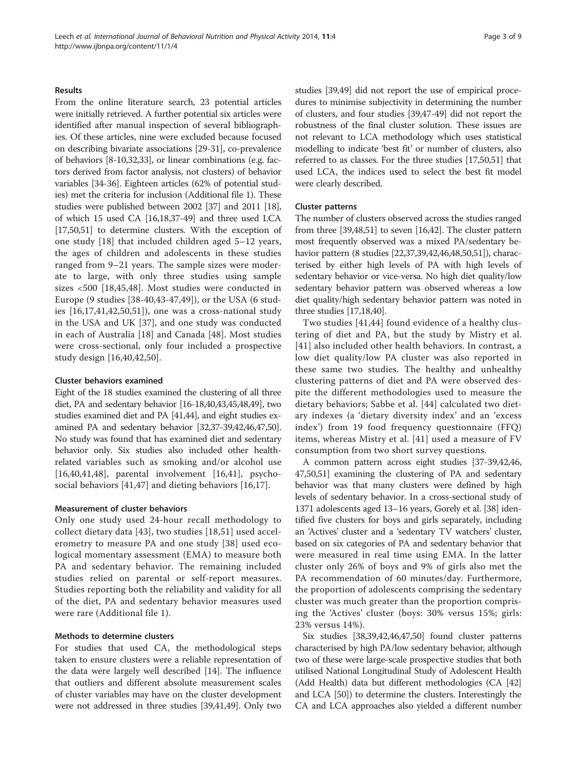#### **Results**

From the online literature search, 23 potential articles were initially retrieved. A further potential six articles were identified after manual inspection of several bibliographies. Of these articles, nine were excluded because focused on describing bivariate associations [\[29-31](#page-7-0)], co-prevalence of behaviors [\[8-10](#page-6-0)[,32,33](#page-7-0)], or linear combinations (e.g. factors derived from factor analysis, not clusters) of behavior variables [\[34](#page-7-0)-[36](#page-7-0)]. Eighteen articles (62% of potential studies) met the criteria for inclusion (Additional file [1\)](#page-6-0). These studies were published between 2002 [\[37\]](#page-7-0) and 2011 [[18](#page-7-0)], of which 15 used CA [[16,18,37-49\]](#page-7-0) and three used LCA [[17,50,51\]](#page-7-0) to determine clusters. With the exception of one study [[18\]](#page-7-0) that included children aged 5–12 years, the ages of children and adolescents in these studies ranged from 9–21 years. The sample sizes were moderate to large, with only three studies using sample sizes <500 [[18,45,48](#page-7-0)]. Most studies were conducted in Europe (9 studies [[38](#page-7-0)-[40,43](#page-7-0)-[47,49\]](#page-7-0)), or the USA (6 studies [[16,17,41](#page-7-0),[42,50,51](#page-7-0)]), one was a cross-national study in the USA and UK [[37\]](#page-7-0), and one study was conducted in each of Australia [[18\]](#page-7-0) and Canada [\[48](#page-7-0)]. Most studies were cross-sectional, only four included a prospective study design [\[16](#page-7-0),[40,42,50](#page-7-0)].

#### Cluster behaviors examined

Eight of the 18 studies examined the clustering of all three diet, PA and sedentary behavior [[16-18,40,43,45,48,49\]](#page-7-0), two studies examined diet and PA [\[41,44\]](#page-7-0), and eight studies examined PA and sedentary behavior [\[32,37-39,42,46,47,50](#page-7-0)]. No study was found that has examined diet and sedentary behavior only. Six studies also included other healthrelated variables such as smoking and/or alcohol use [[16,40,41,48\]](#page-7-0), parental involvement [[16,41](#page-7-0)], psychosocial behaviors [\[41](#page-7-0),[47\]](#page-7-0) and dieting behaviors [\[16](#page-7-0),[17\]](#page-7-0).

#### Measurement of cluster behaviors

Only one study used 24-hour recall methodology to collect dietary data [[43](#page-7-0)], two studies [[18](#page-7-0),[51\]](#page-7-0) used accelerometry to measure PA and one study [[38\]](#page-7-0) used ecological momentary assessment (EMA) to measure both PA and sedentary behavior. The remaining included studies relied on parental or self-report measures. Studies reporting both the reliability and validity for all of the diet, PA and sedentary behavior measures used were rare (Additional file [1\)](#page-6-0).

#### Methods to determine clusters

For studies that used CA, the methodological steps taken to ensure clusters were a reliable representation of the data were largely well described [\[14](#page-7-0)]. The influence that outliers and different absolute measurement scales of cluster variables may have on the cluster development were not addressed in three studies [\[39,41](#page-7-0),[49](#page-7-0)]. Only two studies [[39,49](#page-7-0)] did not report the use of empirical procedures to minimise subjectivity in determining the number of clusters, and four studies [\[39,47](#page-7-0)-[49](#page-7-0)] did not report the robustness of the final cluster solution. These issues are not relevant to LCA methodology which uses statistical modelling to indicate 'best fit' or number of clusters, also referred to as classes. For the three studies [[17,50,51\]](#page-7-0) that used LCA, the indices used to select the best fit model were clearly described.

#### Cluster patterns

The number of clusters observed across the studies ranged from three [[39,48,51\]](#page-7-0) to seven [[16](#page-7-0),[42](#page-7-0)]. The cluster pattern most frequently observed was a mixed PA/sedentary behavior pattern (8 studies [\[22,37,39,42,46,48,50,51](#page-7-0)]), characterised by either high levels of PA with high levels of sedentary behavior or vice-versa. No high diet quality/low sedentary behavior pattern was observed whereas a low diet quality/high sedentary behavior pattern was noted in three studies [\[17,18,40](#page-7-0)].

Two studies [[41](#page-7-0),[44\]](#page-7-0) found evidence of a healthy clustering of diet and PA, but the study by Mistry et al. [[41](#page-7-0)] also included other health behaviors. In contrast, a low diet quality/low PA cluster was also reported in these same two studies. The healthy and unhealthy clustering patterns of diet and PA were observed despite the different methodologies used to measure the dietary behaviors; Sabbe et al. [[44](#page-7-0)] calculated two dietary indexes (a 'dietary diversity index' and an 'excess index') from 19 food frequency questionnaire (FFQ) items, whereas Mistry et al. [[41](#page-7-0)] used a measure of FV consumption from two short survey questions.

A common pattern across eight studies [\[37-39,42,46](#page-7-0), [47,50,51\]](#page-7-0) examining the clustering of PA and sedentary behavior was that many clusters were defined by high levels of sedentary behavior. In a cross-sectional study of 1371 adolescents aged 13–16 years, Gorely et al. [[38](#page-7-0)] identified five clusters for boys and girls separately, including an 'Actives' cluster and a 'sedentary TV watchers' cluster, based on six categories of PA and sedentary behavior that were measured in real time using EMA. In the latter cluster only 26% of boys and 9% of girls also met the PA recommendation of 60 minutes/day. Furthermore, the proportion of adolescents comprising the sedentary cluster was much greater than the proportion comprising the 'Actives' cluster (boys: 30% versus 15%; girls: 23% versus 14%).

Six studies [\[38,39,42,46,47,50](#page-7-0)] found cluster patterns characterised by high PA/low sedentary behavior, although two of these were large-scale prospective studies that both utilised National Longitudinal Study of Adolescent Health (Add Health) data but different methodologies (CA [[42](#page-7-0)] and LCA [[50\]](#page-7-0)) to determine the clusters. Interestingly the CA and LCA approaches also yielded a different number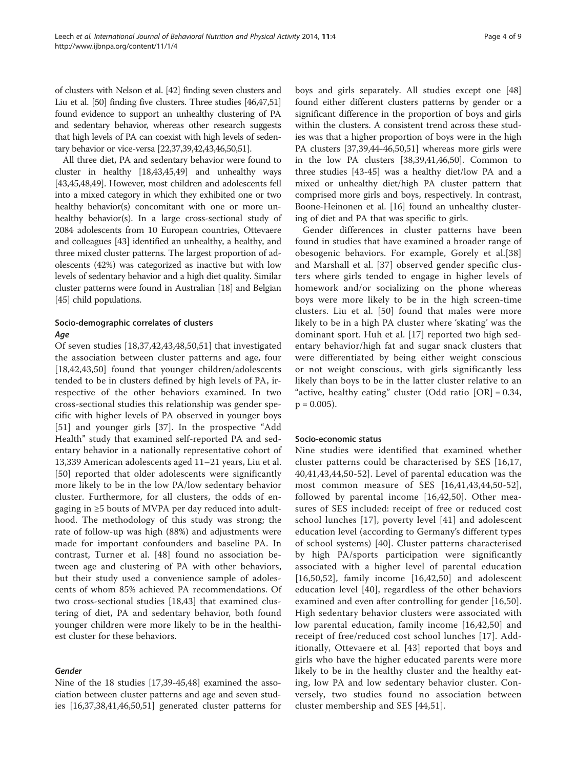of clusters with Nelson et al. [\[42](#page-7-0)] finding seven clusters and Liu et al. [[50](#page-7-0)] finding five clusters. Three studies [\[46,47,51](#page-7-0)] found evidence to support an unhealthy clustering of PA and sedentary behavior, whereas other research suggests that high levels of PA can coexist with high levels of sedentary behavior or vice-versa [[22,37,39,42,43,46,50,51\]](#page-7-0).

All three diet, PA and sedentary behavior were found to cluster in healthy [\[18,43,45,49\]](#page-7-0) and unhealthy ways [[43,45,48,49](#page-7-0)]. However, most children and adolescents fell into a mixed category in which they exhibited one or two healthy behavior(s) concomitant with one or more unhealthy behavior(s). In a large cross-sectional study of 2084 adolescents from 10 European countries, Ottevaere and colleagues [\[43\]](#page-7-0) identified an unhealthy, a healthy, and three mixed cluster patterns. The largest proportion of adolescents (42%) was categorized as inactive but with low levels of sedentary behavior and a high diet quality. Similar cluster patterns were found in Australian [[18\]](#page-7-0) and Belgian [[45](#page-7-0)] child populations.

# Socio-demographic correlates of clusters Age

Of seven studies [[18,37,42](#page-7-0),[43,48,50,51](#page-7-0)] that investigated the association between cluster patterns and age, four [[18,42,43,50\]](#page-7-0) found that younger children/adolescents tended to be in clusters defined by high levels of PA, irrespective of the other behaviors examined. In two cross-sectional studies this relationship was gender specific with higher levels of PA observed in younger boys [[51\]](#page-7-0) and younger girls [[37\]](#page-7-0). In the prospective "Add Health" study that examined self-reported PA and sedentary behavior in a nationally representative cohort of 13,339 American adolescents aged 11–21 years, Liu et al. [[50\]](#page-7-0) reported that older adolescents were significantly more likely to be in the low PA/low sedentary behavior cluster. Furthermore, for all clusters, the odds of engaging in ≥5 bouts of MVPA per day reduced into adulthood. The methodology of this study was strong; the rate of follow-up was high (88%) and adjustments were made for important confounders and baseline PA. In contrast, Turner et al. [[48\]](#page-7-0) found no association between age and clustering of PA with other behaviors, but their study used a convenience sample of adolescents of whom 85% achieved PA recommendations. Of two cross-sectional studies [\[18,43\]](#page-7-0) that examined clustering of diet, PA and sedentary behavior, both found younger children were more likely to be in the healthiest cluster for these behaviors.

# Gender

Nine of the 18 studies [\[17,39](#page-7-0)-[45,48\]](#page-7-0) examined the association between cluster patterns and age and seven studies [\[16,37,38,41,46,50,51\]](#page-7-0) generated cluster patterns for

boys and girls separately. All studies except one [[48](#page-7-0)] found either different clusters patterns by gender or a significant difference in the proportion of boys and girls within the clusters. A consistent trend across these studies was that a higher proportion of boys were in the high PA clusters [\[37,39,44](#page-7-0)-[46,50](#page-7-0),[51](#page-7-0)] whereas more girls were in the low PA clusters [[38,39,41,46,50](#page-7-0)]. Common to three studies [\[43](#page-7-0)-[45](#page-7-0)] was a healthy diet/low PA and a mixed or unhealthy diet/high PA cluster pattern that comprised more girls and boys, respectively. In contrast, Boone-Heinonen et al. [[16\]](#page-7-0) found an unhealthy clustering of diet and PA that was specific to girls.

Gender differences in cluster patterns have been found in studies that have examined a broader range of obesogenic behaviors. For example, Gorely et al.[\[38](#page-7-0)] and Marshall et al. [\[37\]](#page-7-0) observed gender specific clusters where girls tended to engage in higher levels of homework and/or socializing on the phone whereas boys were more likely to be in the high screen-time clusters. Liu et al. [[50\]](#page-7-0) found that males were more likely to be in a high PA cluster where 'skating' was the dominant sport. Huh et al. [[17\]](#page-7-0) reported two high sedentary behavior/high fat and sugar snack clusters that were differentiated by being either weight conscious or not weight conscious, with girls significantly less likely than boys to be in the latter cluster relative to an "active, healthy eating" cluster (Odd ratio  $[OR] = 0.34$ ,  $p = 0.005$ ).

# Socio-economic status

Nine studies were identified that examined whether cluster patterns could be characterised by SES [[16,17](#page-7-0), [40,41](#page-7-0),[43,44,50](#page-7-0)-[52](#page-7-0)]. Level of parental education was the most common measure of SES [[16,41](#page-7-0),[43,44,50](#page-7-0)-[52](#page-7-0)], followed by parental income [[16,42,50](#page-7-0)]. Other measures of SES included: receipt of free or reduced cost school lunches [[17\]](#page-7-0), poverty level [\[41\]](#page-7-0) and adolescent education level (according to Germany's different types of school systems) [[40\]](#page-7-0). Cluster patterns characterised by high PA/sports participation were significantly associated with a higher level of parental education  $[16,50,52]$  $[16,50,52]$  $[16,50,52]$  $[16,50,52]$  $[16,50,52]$ , family income  $[16,42,50]$  $[16,42,50]$  $[16,42,50]$  $[16,42,50]$  $[16,42,50]$  and adolescent education level [[40\]](#page-7-0), regardless of the other behaviors examined and even after controlling for gender [\[16](#page-7-0),[50](#page-7-0)]. High sedentary behavior clusters were associated with low parental education, family income [\[16,42,50\]](#page-7-0) and receipt of free/reduced cost school lunches [[17\]](#page-7-0). Additionally, Ottevaere et al. [[43\]](#page-7-0) reported that boys and girls who have the higher educated parents were more likely to be in the healthy cluster and the healthy eating, low PA and low sedentary behavior cluster. Conversely, two studies found no association between cluster membership and SES [[44,51\]](#page-7-0).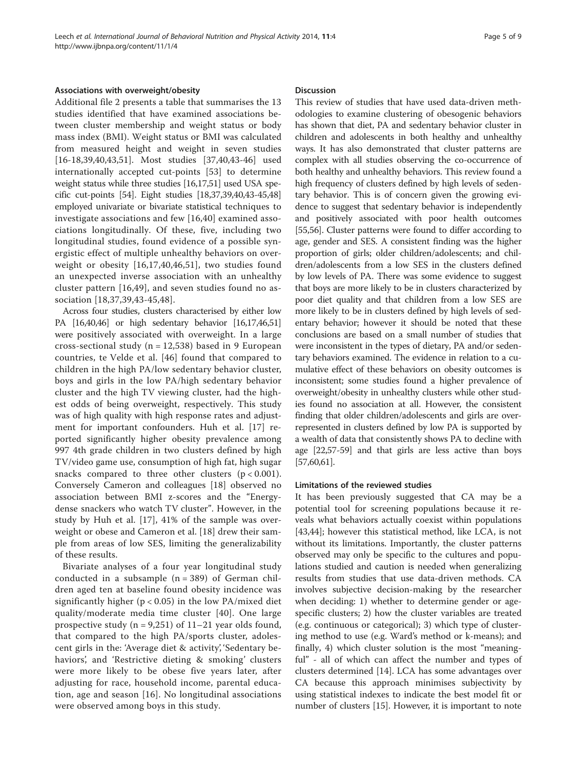#### Associations with overweight/obesity

Additional file [2](#page-6-0) presents a table that summarises the 13 studies identified that have examined associations between cluster membership and weight status or body mass index (BMI). Weight status or BMI was calculated from measured height and weight in seven studies [[16-18,39,40,43](#page-7-0),[51\]](#page-7-0). Most studies [[37,40](#page-7-0),[43-46](#page-7-0)] used internationally accepted cut-points [[53\]](#page-7-0) to determine weight status while three studies [\[16,17,51](#page-7-0)] used USA specific cut-points [\[54\]](#page-7-0). Eight studies [\[18,37,39,40,43-45,48](#page-7-0)] employed univariate or bivariate statistical techniques to investigate associations and few [[16,40\]](#page-7-0) examined associations longitudinally. Of these, five, including two longitudinal studies, found evidence of a possible synergistic effect of multiple unhealthy behaviors on overweight or obesity [[16,17,40,46,51](#page-7-0)], two studies found an unexpected inverse association with an unhealthy cluster pattern [[16,49\]](#page-7-0), and seven studies found no association [[18,37,39](#page-7-0),[43-45,48](#page-7-0)].

Across four studies, clusters characterised by either low PA [[16,40,46\]](#page-7-0) or high sedentary behavior [[16,17,46,51](#page-7-0)] were positively associated with overweight. In a large cross-sectional study ( $n = 12,538$ ) based in 9 European countries, te Velde et al. [[46](#page-7-0)] found that compared to children in the high PA/low sedentary behavior cluster, boys and girls in the low PA/high sedentary behavior cluster and the high TV viewing cluster, had the highest odds of being overweight, respectively. This study was of high quality with high response rates and adjustment for important confounders. Huh et al. [\[17](#page-7-0)] reported significantly higher obesity prevalence among 997 4th grade children in two clusters defined by high TV/video game use, consumption of high fat, high sugar snacks compared to three other clusters  $(p < 0.001)$ . Conversely Cameron and colleagues [\[18](#page-7-0)] observed no association between BMI z-scores and the "Energydense snackers who watch TV cluster". However, in the study by Huh et al. [\[17](#page-7-0)], 41% of the sample was overweight or obese and Cameron et al. [[18](#page-7-0)] drew their sample from areas of low SES, limiting the generalizability of these results.

Bivariate analyses of a four year longitudinal study conducted in a subsample  $(n = 389)$  of German children aged ten at baseline found obesity incidence was significantly higher ( $p < 0.05$ ) in the low PA/mixed diet quality/moderate media time cluster [[40](#page-7-0)]. One large prospective study  $(n = 9,251)$  of  $11-21$  year olds found, that compared to the high PA/sports cluster, adolescent girls in the: 'Average diet & activity', 'Sedentary behaviors', and 'Restrictive dieting & smoking' clusters were more likely to be obese five years later, after adjusting for race, household income, parental education, age and season [[16](#page-7-0)]. No longitudinal associations were observed among boys in this study.

#### **Discussion**

This review of studies that have used data-driven methodologies to examine clustering of obesogenic behaviors has shown that diet, PA and sedentary behavior cluster in children and adolescents in both healthy and unhealthy ways. It has also demonstrated that cluster patterns are complex with all studies observing the co-occurrence of both healthy and unhealthy behaviors. This review found a high frequency of clusters defined by high levels of sedentary behavior. This is of concern given the growing evidence to suggest that sedentary behavior is independently and positively associated with poor health outcomes [[55,56](#page-7-0)]. Cluster patterns were found to differ according to age, gender and SES. A consistent finding was the higher proportion of girls; older children/adolescents; and children/adolescents from a low SES in the clusters defined by low levels of PA. There was some evidence to suggest that boys are more likely to be in clusters characterized by poor diet quality and that children from a low SES are more likely to be in clusters defined by high levels of sedentary behavior; however it should be noted that these conclusions are based on a small number of studies that were inconsistent in the types of dietary, PA and/or sedentary behaviors examined. The evidence in relation to a cumulative effect of these behaviors on obesity outcomes is inconsistent; some studies found a higher prevalence of overweight/obesity in unhealthy clusters while other studies found no association at all. However, the consistent finding that older children/adolescents and girls are overrepresented in clusters defined by low PA is supported by a wealth of data that consistently shows PA to decline with age [\[22,57-59\]](#page-7-0) and that girls are less active than boys [[57,60](#page-7-0)[,61\]](#page-8-0).

#### Limitations of the reviewed studies

It has been previously suggested that CA may be a potential tool for screening populations because it reveals what behaviors actually coexist within populations [[43,44\]](#page-7-0); however this statistical method, like LCA, is not without its limitations. Importantly, the cluster patterns observed may only be specific to the cultures and populations studied and caution is needed when generalizing results from studies that use data-driven methods. CA involves subjective decision-making by the researcher when deciding: 1) whether to determine gender or agespecific clusters; 2) how the cluster variables are treated (e.g. continuous or categorical); 3) which type of clustering method to use (e.g. Ward's method or k-means); and finally, 4) which cluster solution is the most "meaningful" - all of which can affect the number and types of clusters determined [[14\]](#page-7-0). LCA has some advantages over CA because this approach minimises subjectivity by using statistical indexes to indicate the best model fit or number of clusters [\[15\]](#page-7-0). However, it is important to note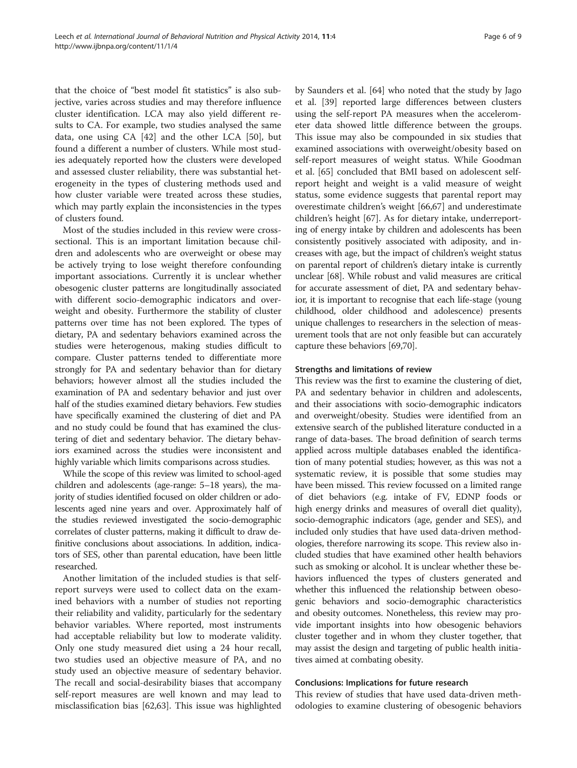that the choice of "best model fit statistics" is also subjective, varies across studies and may therefore influence cluster identification. LCA may also yield different results to CA. For example, two studies analysed the same data, one using CA [[42](#page-7-0)] and the other LCA [\[50\]](#page-7-0), but found a different a number of clusters. While most studies adequately reported how the clusters were developed and assessed cluster reliability, there was substantial heterogeneity in the types of clustering methods used and how cluster variable were treated across these studies, which may partly explain the inconsistencies in the types of clusters found.

Most of the studies included in this review were crosssectional. This is an important limitation because children and adolescents who are overweight or obese may be actively trying to lose weight therefore confounding important associations. Currently it is unclear whether obesogenic cluster patterns are longitudinally associated with different socio-demographic indicators and overweight and obesity. Furthermore the stability of cluster patterns over time has not been explored. The types of dietary, PA and sedentary behaviors examined across the studies were heterogenous, making studies difficult to compare. Cluster patterns tended to differentiate more strongly for PA and sedentary behavior than for dietary behaviors; however almost all the studies included the examination of PA and sedentary behavior and just over half of the studies examined dietary behaviors. Few studies have specifically examined the clustering of diet and PA and no study could be found that has examined the clustering of diet and sedentary behavior. The dietary behaviors examined across the studies were inconsistent and highly variable which limits comparisons across studies.

While the scope of this review was limited to school-aged children and adolescents (age-range: 5–18 years), the majority of studies identified focused on older children or adolescents aged nine years and over. Approximately half of the studies reviewed investigated the socio-demographic correlates of cluster patterns, making it difficult to draw definitive conclusions about associations. In addition, indicators of SES, other than parental education, have been little researched.

Another limitation of the included studies is that selfreport surveys were used to collect data on the examined behaviors with a number of studies not reporting their reliability and validity, particularly for the sedentary behavior variables. Where reported, most instruments had acceptable reliability but low to moderate validity. Only one study measured diet using a 24 hour recall, two studies used an objective measure of PA, and no study used an objective measure of sedentary behavior. The recall and social-desirability biases that accompany self-report measures are well known and may lead to misclassification bias [[62,63\]](#page-8-0). This issue was highlighted by Saunders et al. [\[64](#page-8-0)] who noted that the study by Jago et al. [\[39](#page-7-0)] reported large differences between clusters using the self-report PA measures when the accelerometer data showed little difference between the groups. This issue may also be compounded in six studies that examined associations with overweight/obesity based on self-report measures of weight status. While Goodman et al. [\[65](#page-8-0)] concluded that BMI based on adolescent selfreport height and weight is a valid measure of weight status, some evidence suggests that parental report may overestimate children's weight [\[66,67](#page-8-0)] and underestimate children's height [\[67\]](#page-8-0). As for dietary intake, underreporting of energy intake by children and adolescents has been consistently positively associated with adiposity, and increases with age, but the impact of children's weight status on parental report of children's dietary intake is currently unclear [[68](#page-8-0)]. While robust and valid measures are critical for accurate assessment of diet, PA and sedentary behavior, it is important to recognise that each life-stage (young childhood, older childhood and adolescence) presents unique challenges to researchers in the selection of measurement tools that are not only feasible but can accurately capture these behaviors [\[69,70](#page-8-0)].

## Strengths and limitations of review

This review was the first to examine the clustering of diet, PA and sedentary behavior in children and adolescents, and their associations with socio-demographic indicators and overweight/obesity. Studies were identified from an extensive search of the published literature conducted in a range of data-bases. The broad definition of search terms applied across multiple databases enabled the identification of many potential studies; however, as this was not a systematic review, it is possible that some studies may have been missed. This review focussed on a limited range of diet behaviors (e.g. intake of FV, EDNP foods or high energy drinks and measures of overall diet quality), socio-demographic indicators (age, gender and SES), and included only studies that have used data-driven methodologies, therefore narrowing its scope. This review also included studies that have examined other health behaviors such as smoking or alcohol. It is unclear whether these behaviors influenced the types of clusters generated and whether this influenced the relationship between obesogenic behaviors and socio-demographic characteristics and obesity outcomes. Nonetheless, this review may provide important insights into how obesogenic behaviors cluster together and in whom they cluster together, that may assist the design and targeting of public health initiatives aimed at combating obesity.

#### Conclusions: Implications for future research

This review of studies that have used data-driven methodologies to examine clustering of obesogenic behaviors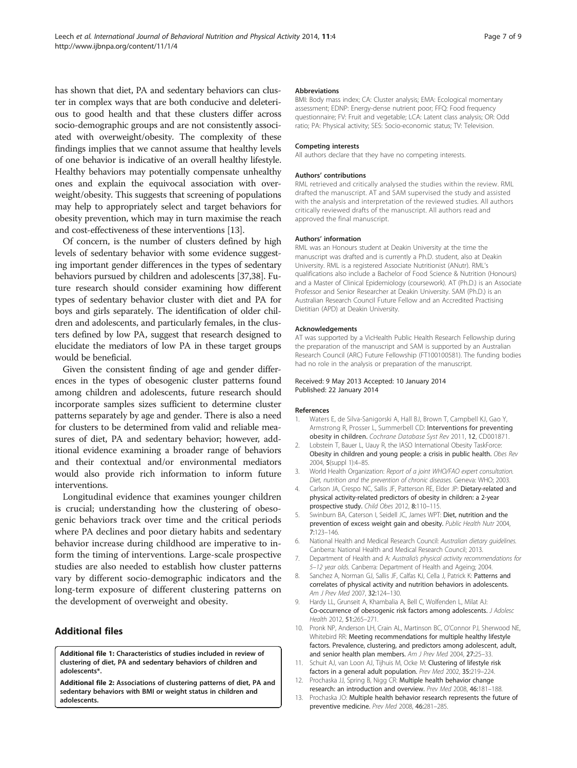<span id="page-6-0"></span>has shown that diet, PA and sedentary behaviors can cluster in complex ways that are both conducive and deleterious to good health and that these clusters differ across socio-demographic groups and are not consistently associated with overweight/obesity. The complexity of these findings implies that we cannot assume that healthy levels of one behavior is indicative of an overall healthy lifestyle. Healthy behaviors may potentially compensate unhealthy ones and explain the equivocal association with overweight/obesity. This suggests that screening of populations may help to appropriately select and target behaviors for obesity prevention, which may in turn maximise the reach and cost-effectiveness of these interventions [13].

Of concern, is the number of clusters defined by high levels of sedentary behavior with some evidence suggesting important gender differences in the types of sedentary behaviors pursued by children and adolescents [[37,38](#page-7-0)]. Future research should consider examining how different types of sedentary behavior cluster with diet and PA for boys and girls separately. The identification of older children and adolescents, and particularly females, in the clusters defined by low PA, suggest that research designed to elucidate the mediators of low PA in these target groups would be beneficial.

Given the consistent finding of age and gender differences in the types of obesogenic cluster patterns found among children and adolescents, future research should incorporate samples sizes sufficient to determine cluster patterns separately by age and gender. There is also a need for clusters to be determined from valid and reliable measures of diet, PA and sedentary behavior; however, additional evidence examining a broader range of behaviors and their contextual and/or environmental mediators would also provide rich information to inform future interventions.

Longitudinal evidence that examines younger children is crucial; understanding how the clustering of obesogenic behaviors track over time and the critical periods where PA declines and poor dietary habits and sedentary behavior increase during childhood are imperative to inform the timing of interventions. Large-scale prospective studies are also needed to establish how cluster patterns vary by different socio-demographic indicators and the long-term exposure of different clustering patterns on the development of overweight and obesity.

# Additional files

[Additional file 1:](http://www.biomedcentral.com/content/supplementary/1479-5868-11-4-S1.pdf) Characteristics of studies included in review of clustering of diet, PA and sedentary behaviors of children and adolescents\*.

[Additional file 2:](http://www.biomedcentral.com/content/supplementary/1479-5868-11-4-S2.pdf) Associations of clustering patterns of diet, PA and sedentary behaviors with BMI or weight status in children and adolescents.

#### **Abbreviations**

BMI: Body mass index; CA: Cluster analysis; EMA: Ecological momentary assessment; EDNP: Energy-dense nutrient poor; FFQ: Food frequency questionnaire; FV: Fruit and vegetable; LCA: Latent class analysis; OR: Odd ratio; PA: Physical activity; SES: Socio-economic status; TV: Television.

#### Competing interests

All authors declare that they have no competing interests.

#### Authors' contributions

RML retrieved and critically analysed the studies within the review. RML drafted the manuscript. AT and SAM supervised the study and assisted with the analysis and interpretation of the reviewed studies. All authors critically reviewed drafts of the manuscript. All authors read and approved the final manuscript.

#### Authors' information

RML was an Honours student at Deakin University at the time the manuscript was drafted and is currently a Ph.D. student, also at Deakin University. RML is a registered Associate Nutritionist (ANutr). RML's qualifications also include a Bachelor of Food Science & Nutrition (Honours) and a Master of Clinical Epidemiology (coursework). AT (Ph.D.) is an Associate Professor and Senior Researcher at Deakin University. SAM (Ph.D.) is an Australian Research Council Future Fellow and an Accredited Practising Dietitian (APD) at Deakin University.

#### Acknowledgements

AT was supported by a VicHealth Public Health Research Fellowship during the preparation of the manuscript and SAM is supported by an Australian Research Council (ARC) Future Fellowship (FT100100581). The funding bodies had no role in the analysis or preparation of the manuscript.

#### Received: 9 May 2013 Accepted: 10 January 2014 Published: 22 January 2014

#### References

- Waters E, de Silva-Sanigorski A, Hall BJ, Brown T, Campbell KJ, Gao Y, Armstrong R, Prosser L, Summerbell CD: Interventions for preventing obesity in children. Cochrane Database Syst Rev 2011, 12, CD001871.
- 2. Lobstein T, Bauer L, Uauy R, the IASO International Obesity TaskForce: Obesity in children and young people: a crisis in public health. Obes Rev 2004, 5(suppl 1):4–85.
- 3. World Health Organization: Report of a joint WHO/FAO expert consultation. Diet, nutrition and the prevention of chronic diseases. Geneva: WHO; 2003.
- Carlson JA, Crespo NC, Sallis JF, Patterson RE, Elder JP: Dietary-related and physical activity-related predictors of obesity in children: a 2-year prospective study. Child Obes 2012, 8:110–115.
- 5. Swinburn BA, Caterson I, Seidell JC, James WPT: Diet, nutrition and the prevention of excess weight gain and obesity. Public Health Nutr 2004, 7:123–146.
- 6. National Health and Medical Research Council: Australian dietary guidelines. Canberra: National Health and Medical Research Council; 2013.
- 7. Department of Health and A: Australia's physical activity recommendations for 5–12 year olds. Canberra: Department of Health and Ageing; 2004.
- 8. Sanchez A, Norman GJ, Sallis JF, Calfas KJ, Cella J, Patrick K: Patterns and correlates of physical activity and nutrition behaviors in adolescents. Am J Prev Med 2007, 32:124–130.
- 9. Hardy LL, Grunseit A, Khambalia A, Bell C, Wolfenden L, Milat AJ: Co-occurrence of obesogenic risk factors among adolescents. J Adolesc Health 2012, 51:265–271.
- 10. Pronk NP, Anderson LH, Crain AL, Martinson BC, O'Connor PJ, Sherwood NE, Whitebird RR: Meeting recommendations for multiple healthy lifestyle factors. Prevalence, clustering, and predictors among adolescent, adult, and senior health plan members. Am J Prev Med 2004, 27:25-33.
- 11. Schuit AJ, van Loon AJ, Tijhuis M, Ocke M: Clustering of lifestyle risk factors in a general adult population. Prev Med 2002, 35:219–224.
- 12. Prochaska JJ, Spring B, Nigg CR: Multiple health behavior change research: an introduction and overview. Prev Med 2008, 46:181–188.
- 13. Prochaska JO: Multiple health behavior research represents the future of preventive medicine. Prev Med 2008, 46:281–285.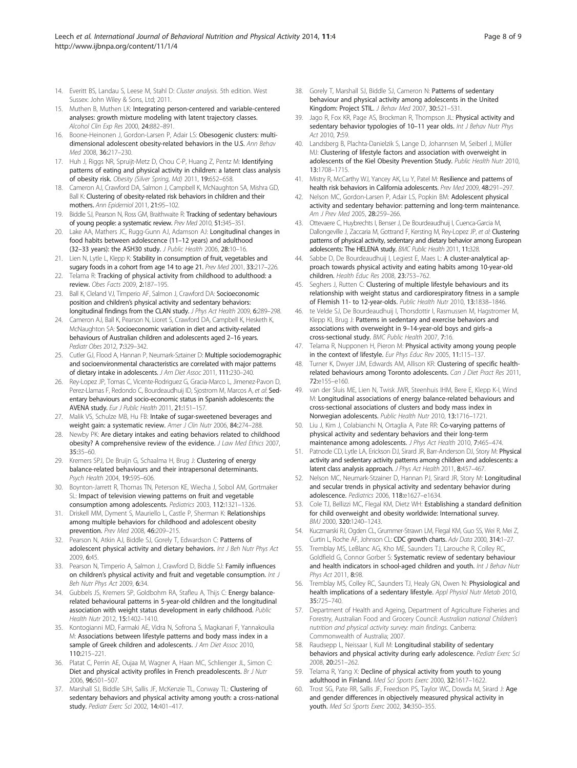- <span id="page-7-0"></span>14. Everitt BS, Landau S, Leese M, Stahl D: Cluster analysis. 5th edition. West Sussex: John Wiley & Sons, Ltd; 2011.
- 15. Muthen B, Muthen LK: Integrating person-centered and variable-centered analyses: growth mixture modeling with latent trajectory classes. Alcohol Clin Exp Res 2000, 24:882–891.
- 16. Boone-Heinonen J, Gordon-Larsen P, Adair LS: Obesogenic clusters: multidimensional adolescent obesity-related behaviors in the U.S. Ann Behav Med 2008, 36:217–230.
- 17. Huh J, Riggs NR, Spruijt-Metz D, Chou C-P, Huang Z, Pentz M: Identifying patterns of eating and physical activity in children: a latent class analysis of obesity risk. Obesity (Silver Spring, Md) 2011, 19:652–658.
- 18. Cameron AJ, Crawford DA, Salmon J, Campbell K, McNaughton SA, Mishra GD, Ball K: Clustering of obesity-related risk behaviors in children and their mothers. Ann Epidemiol 2011, 21:95–102.
- 19. Biddle SJ, Pearson N, Ross GM, Braithwaite R: Tracking of sedentary behaviours of young people: a systematic review. Prev Med 2010, 51:345–351.
- 20. Lake AA, Mathers JC, Rugg-Gunn AJ, Adamson AJ: Longitudinal changes in food habits between adolescence (11–12 years) and adulthood (32–33 years): the ASH30 study. J Public Health 2006, 28:10–16.
- 21. Lien N, Lytle L, Klepp K: Stability in consumption of fruit, vegetables and sugary foods in a cohort from age 14 to age 21. Prev Med 2001, 33:217–226.
- 22. Telama R: Tracking of physical activity from childhood to adulthood: a review. Obes Facts 2009, 2:187–195.
- 23. Ball K, Cleland VJ, Timperio AF, Salmon J, Crawford DA: Socioeconomic position and children's physical activity and sedentary behaviors: longitudinal findings from the CLAN study. J Phys Act Health 2009, 6:289–298.
- 24. Cameron AJ, Ball K, Pearson N, Lioret S, Crawford DA, Campbell K, Hesketh K, McNaughton SA: Socioeconomic variation in diet and activity-related behaviours of Australian children and adolescents aged 2–16 years. Pediatr Obes 2012, 7:329–342.
- 25. Cutler GJ, Flood A, Hannan P, Neumark-Sztainer D: Multiple sociodemographic and socioenvironmental characteristics are correlated with major patterns of dietary intake in adolescents. J Am Diet Assoc 2011, 111:230–240.
- 26. Rey-Lopez JP, Tomas C, Vicente-Rodriguez G, Gracia-Marco L, Jimenez-Pavon D, Perez-Llamas F, Redondo C, Bourdeaudhuij ID, Sjostrom M, Marcos A, et al: Sedentary behaviours and socio-economic status in Spanish adolescents: the AVENA study. Eur J Public Health 2011, 21:151–157.
- 27. Malik VS, Schulze MB, Hu FB: Intake of sugar-sweetened beverages and weight gain: a systematic review. Amer J Clin Nutr 2006, 84:274-288.
- 28. Newby PK: Are dietary intakes and eating behaviors related to childhood obesity? A comprehensive review of the evidence. J Law Med Ethics 2007, 35:35–60.
- 29. Kremers SPJ, De Bruijn G, Schaalma H, Brug J: Clustering of energy balance-related behaviours and their intrapersonal determinants. Psych Health 2004, 19:595–606.
- 30. Boynton-Jarrett R, Thomas TN, Peterson KE, Wiecha J, Sobol AM, Gortmaker SL: Impact of television viewing patterns on fruit and vegetable consumption among adolescents. Pediatrics 2003, 112:1321–1326.
- 31. Driskell MM, Dyment S, Mauriello L, Castle P, Sherman K: Relationships among multiple behaviors for childhood and adolescent obesity prevention. Prev Med 2008, 46:209–215.
- 32. Pearson N, Atkin AJ, Biddle SJ, Gorely T, Edwardson C: Patterns of adolescent physical activity and dietary behaviors. Int J Beh Nutr Phys Act 2009, 6:45.
- 33. Pearson N, Timperio A, Salmon J, Crawford D, Biddle SJ: Family influences on children's physical activity and fruit and vegetable consumption. Int J Beh Nutr Phys Act 2009, 6:34.
- 34. Gubbels JS, Kremers SP, Goldbohm RA, Stafleu A, Thijs C: Energy balancerelated behavioural patterns in 5-year-old children and the longitudinal association with weight status development in early childhood. Public Health Nutr 2012, 15:1402–1410.
- 35. Kontogianni MD, Farmaki AE, Vidra N, Sofrona S, Magkanari F, Yannakoulia M: Associations between lifestyle patterns and body mass index in a sample of Greek children and adolescents. J Am Diet Assoc 2010, 110:215–221.
- 36. Platat C, Perrin AE, Oujaa M, Wagner A, Haan MC, Schlienger JL, Simon C: Diet and physical activity profiles in French preadolescents. Br J Nutr 2006, 96:501–507.
- 37. Marshall SJ, Biddle SJH, Sallis JF, McKenzie TL, Conway TL: Clustering of sedentary behaviors and physical activity among youth: a cross-national study. Pediatr Exerc Sci 2002, 14:401–417.
- 38. Gorely T, Marshall SJ, Biddle SJ, Cameron N: Patterns of sedentary behaviour and physical activity among adolescents in the United Kingdom: Project STIL. J Behav Med 2007, 30:521-531.
- 39. Jago R, Fox KR, Page AS, Brockman R, Thompson JL: Physical activity and sedentary behavior typologies of 10-11 year olds. Int J Behav Nutr Phys Act 2010, 7:59.
- 40. Landsberg B, Plachta-Danielzik S, Lange D, Johannsen M, Seiberl J, Müller MJ: Clustering of lifestyle factors and association with overweight in adolescents of the Kiel Obesity Prevention Study. Public Health Nutr 2010, 13:1708–1715.
- 41. Mistry R, McCarthy WJ, Yancey AK, Lu Y, Patel M: Resilience and patterns of health risk behaviors in California adolescents. Prev Med 2009, 48:291–297.
- 42. Nelson MC, Gordon-Larsen P, Adair LS, Popkin BM: Adolescent physical activity and sedentary behavior: patterning and long-term maintenance. Am J Prev Med 2005, 28:259-266.
- 43. Ottevaere C, Huybrechts I, Benser J, De Bourdeaudhuij I, Cuenca-Garcia M, Dallongeville J, Zaccaria M, Gottrand F, Kersting M, Rey-Lopez JP, et al: Clustering patterns of physical activity, sedentary and dietary behavior among European adolescents: The HELENA study. BMC Public Health 2011, 11:328.
- 44. Sabbe D, De Bourdeaudhuij I, Legiest E, Maes L: A cluster-analytical approach towards physical activity and eating habits among 10-year-old children. Health Educ Res 2008, 23:753–762.
- 45. Seghers J, Rutten C: Clustering of multiple lifestyle behaviours and its relationship with weight status and cardiorespiratory fitness in a sample of Flemish 11- to 12-year-olds. Public Health Nutr 2010, 13:1838–1846.
- 46. te Velde SJ, De Bourdeaudhuij I, Thorsdottir I, Rasmussen M, Hagstromer M, Klepp KI, Brug J: Patterns in sedentary and exercise behaviors and associations with overweight in 9–14-year-old boys and girls–a cross-sectional study. BMC Public Health 2007, 7:16.
- 47. Telama R, Nupponen H, Pieron M: Physical activity among young people in the context of lifestyle. Eur Phys Educ Rev 2005, 11:115–137.
- 48. Turner K, Dwyer JJM, Edwards AM, Allison KR: Clustering of specific healthrelated behaviours among Toronto adolescents. Can J Diet Pract Res 2011, 72:e155–e160.
- 49. van der Sluis ME, Lien N, Twisk JWR, Steenhuis IHM, Bere E, Klepp K-I, Wind M: Longitudinal associations of energy balance-related behaviours and cross-sectional associations of clusters and body mass index in Norwegian adolescents. Public Health Nutr 2010, 13:1716–1721.
- 50. Liu J, Kim J, Colabianchi N, Ortaglia A, Pate RR: Co-varying patterns of physical activity and sedentary behaviors and their long-term maintenance among adolescents. J Phys Act Health 2010, 7:465–474.
- 51. Patnode CD, Lytle LA, Erickson DJ, Sirard JR, Barr-Anderson DJ, Story M: Physical activity and sedentary activity patterns among children and adolescents: a latent class analysis approach. J Phys Act Health 2011, 8:457–467.
- 52. Nelson MC, Neumark-Stzainer D, Hannan PJ, Sirard JR, Story M: Longitudinal and secular trends in physical activity and sedentary behavior during adolescence. Pediatrics 2006, 118:e1627–e1634.
- 53. Cole TJ, Bellizzi MC, Flegal KM, Dietz WH: Establishing a standard definition for child overweight and obesity worldwide: International survey. BMJ 2000, 320:1240–1243.
- 54. Kuczmarski RJ, Ogden CL, Grummer-Strawn LM, Flegal KM, Guo SS, Wei R, Mei Z, Curtin L, Roche AF, Johnson CL: CDC growth charts. Adv Data 2000, 314:1–27.
- 55. Tremblay MS, LeBlanc AG, Kho ME, Saunders TJ, Larouche R, Colley RC, Goldfield G, Connor Gorber S: Systematic review of sedentary behaviour and health indicators in school-aged children and youth. Int J Behav Nutr Phys Act 2011, 8:98.
- 56. Tremblay MS, Colley RC, Saunders TJ, Healy GN, Owen N: Physiological and health implications of a sedentary lifestyle. Appl Physiol Nutr Metab 2010, 35:725–740.
- 57. Department of Health and Ageing, Department of Agriculture Fisheries and Forestry, Australian Food and Grocery Council: Australian national Children's nutrition and physical activity survey: main findings. Canberra: Commonwealth of Australia; 2007.
- 58. Raudsepp L, Neissaar I, Kull M: Longitudinal stability of sedentary behaviors and physical activity during early adolescence. Pediatr Exerc Sci 2008, 20:251–262.
- 59. Telama R, Yang X: Decline of physical activity from youth to young adulthood in Finland. Med Sci Sports Exerc 2000, 32:1617–1622.
- 60. Trost SG, Pate RR, Sallis JF, Freedson PS, Taylor WC, Dowda M, Sirard J: Age and gender differences in objectively measured physical activity in youth. Med Sci Sports Exerc 2002, 34:350-355.